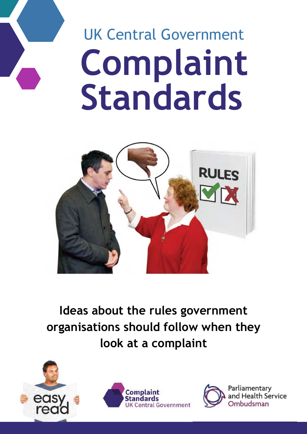# **Complaint Standards** UK Central Government



**Ideas about the rules government organisations should follow when they look at a complaint**





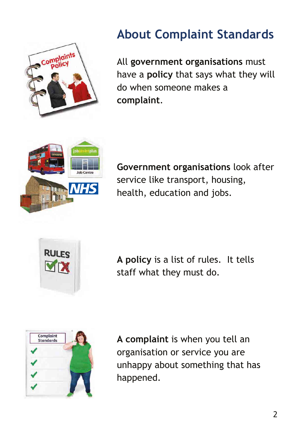

# **About Complaint Standards**

All **government organisations** must have a **policy** that says what they will do when someone makes a **complaint**.



**Government organisations** look after service like transport, housing, health, education and jobs.



**A policy** is a list of rules. It tells staff what they must do.



**A complaint** is when you tell an organisation or service you are unhappy about something that has happened.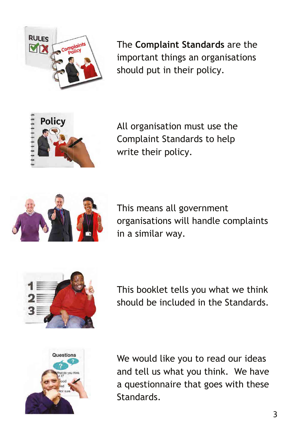

The **Complaint Standards** are the important things an organisations should put in their policy.



All organisation must use the Complaint Standards to help write their policy.



This means all government organisations will handle complaints in a similar way.



This booklet tells you what we think should be included in the Standards.



We would like you to read our ideas and tell us what you think. We have a questionnaire that goes with these Standards.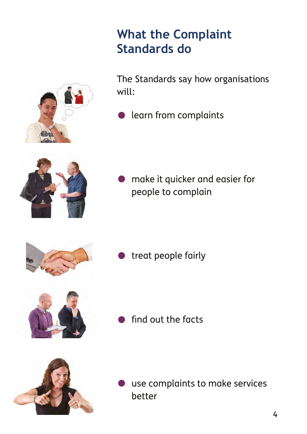### **What the Complaint Standards do**

The Standards say how organisations will:

**•** learn from complaints

make it quicker and easier for people to complain

treat people fairly

find out the facts

use complaints to make services better







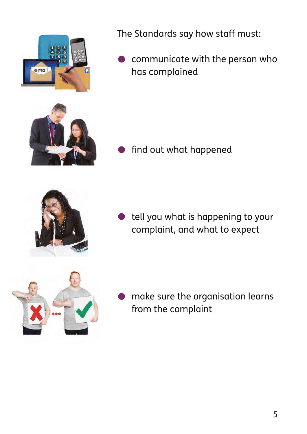

The Standards say how staff must:

communicate with the person who has complained

find out what happened

tell you what is happening to your complaint, and what to expect



• make sure the organisation learns from the complaint



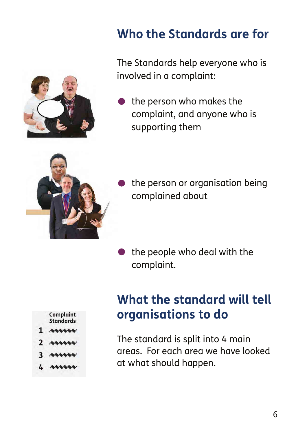

### **Who the Standards are for**

The Standards help everyone who is involved in a complaint:

the person who makes the complaint, and anyone who is supporting them



the person or organisation being complained about

the people who deal with the complaint.

### **What the standard will tell organisations to do**

- The standard is split into 4 main areas. For each area we have looked at what should happen.
- **Complaint Standards**
- 1 ALLLEL
- 
- 
- $4.444444$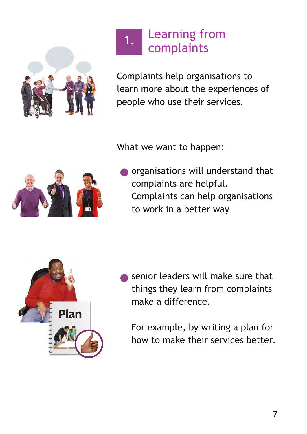

#### Learning from complaints 1.

Complaints help organisations to learn more about the experiences of people who use their services.

What we want to happen:



•organisations will understand that complaints are helpful. Complaints can help organisations to work in a better way



senior leaders will make sure that things they learn from complaints make a difference.

For example, by writing a plan for how to make their services better.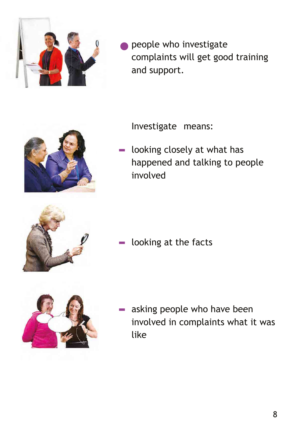

people who investigate complaints will get good training and support.



- Investigate means:
- $\blacksquare$  looking closely at what has happened and talking to people involved



 $\blacksquare$  looking at the facts



asking people who have been involved in complaints what it was like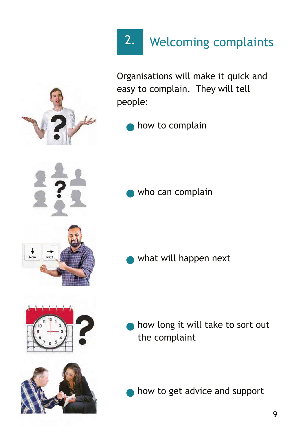

Organisations will make it quick and easy to complain. They will tell people:

how to complain

who can complain

•what will happen next

how long it will take to sort out the complaint

how to get advice and support

9







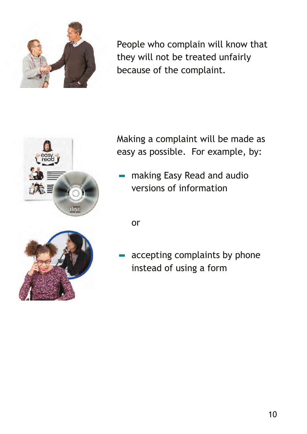

People who complain will know that they will not be treated unfairly because of the complaint.



Making a complaint will be made as easy as possible. For example, by:

- making Easy Read and audio versions of information

or



accepting complaints by phone instead of using a form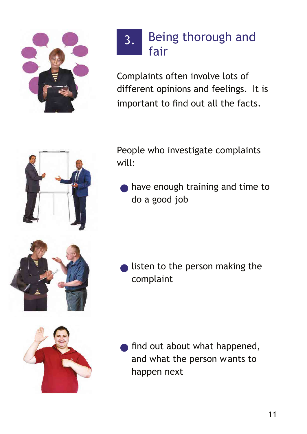

#### Being thorough and fair 3.

Complaints often involve lots of different opinions and feelings. It is important to find out all the facts.



People who investigate complaints will:

have enough training and time to do a good job

listen to the person making the complaint



find out about what happened, and what the person wants to happen next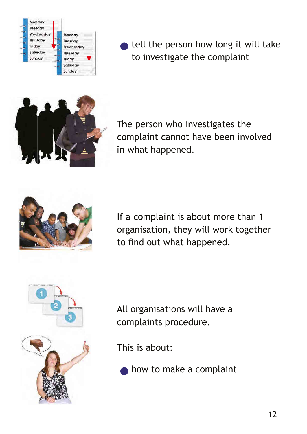| Monday    |           |
|-----------|-----------|
| Tuesday   |           |
| Wednesday | Monday    |
| Thursday  | Tuesday   |
| Friday    | Wednesday |
| Saturday  | Thursday  |
| Sunday    | Friday    |
|           | Saturday  |
|           | Sunday    |

tell the person how long it will take to investigate the complaint



The person who investigates the complaint cannot have been involved in what happened.



If a complaint is about more than 1 organisation, they will work together to find out what happened.



All organisations will have a complaints procedure.

This is about:

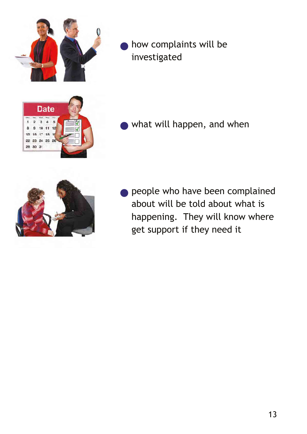

how complaints will be investigated



what will happen, and when



**• people who have been complained** about will be told about what is happening. They will know where get support if they need it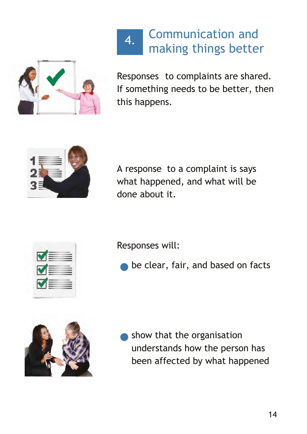

Communication and making things better 4.

Responses to complaints are shared. If something needs to be better, then this happens.



A response to a complaint is says what happened, and what will be done about it.



Responses will:

be clear, fair, and based on facts



show that the organisation understands how the person has been affected by what happened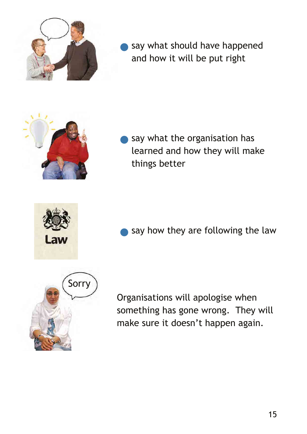

say what should have happened and how it will be put right

say what the organisation has learned and how they will make things better



say how they are following the law



Organisations will apologise when something has gone wrong. They will make sure it doesn't happen again.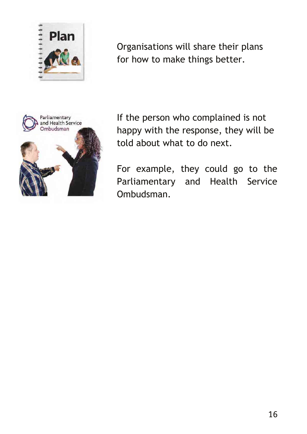

Organisations will share their plans for how to make things better.



If the person who complained is not happy with the response, they will be told about what to do next.

For example, they could go to the Parliamentary and Health Service Ombudsman.